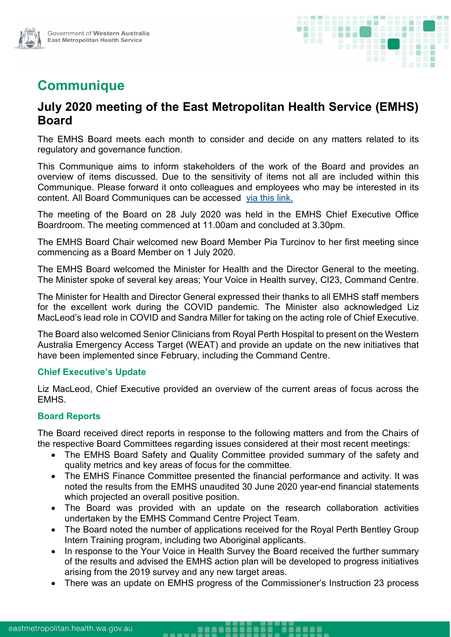

# **Communique**

## **July 2020 meeting of the East Metropolitan Health Service (EMHS) Board**

The EMHS Board meets each month to consider and decide on any matters related to its regulatory and governance function.

This Communique aims to inform stakeholders of the work of the Board and provides an overview of items discussed. Due to the sensitivity of items not all are included within this Communique. Please forward it onto colleagues and employees who may be interested in its content. All Board Communiques can be accessed [via this link.](https://emhs.health.wa.gov.au/About-Us/Health-Service-Board)

The meeting of the Board on 28 July 2020 was held in the EMHS Chief Executive Office Boardroom. The meeting commenced at 11.00am and concluded at 3.30pm.

The EMHS Board Chair welcomed new Board Member Pia Turcinov to her first meeting since commencing as a Board Member on 1 July 2020.

The EMHS Board welcomed the Minister for Health and the Director General to the meeting. The Minister spoke of several key areas; Your Voice in Health survey, CI23, Command Centre.

The Minister for Health and Director General expressed their thanks to all EMHS staff members for the excellent work during the COVID pandemic. The Minister also acknowledged Liz MacLeod's lead role in COVID and Sandra Miller for taking on the acting role of Chief Executive.

The Board also welcomed Senior Clinicians from Royal Perth Hospital to present on the Western Australia Emergency Access Target (WEAT) and provide an update on the new initiatives that have been implemented since February, including the Command Centre.

### **Chief Executive's Update**

Liz MacLeod, Chief Executive provided an overview of the current areas of focus across the EMHS.

### **Board Reports**

The Board received direct reports in response to the following matters and from the Chairs of the respective Board Committees regarding issues considered at their most recent meetings:

- The EMHS Board Safety and Quality Committee provided summary of the safety and quality metrics and key areas of focus for the committee.
- The EMHS Finance Committee presented the financial performance and activity. It was noted the results from the EMHS unaudited 30 June 2020 year-end financial statements which projected an overall positive position.
- The Board was provided with an update on the research collaboration activities undertaken by the EMHS Command Centre Project Team.
- The Board noted the number of applications received for the Royal Perth Bentley Group Intern Training program, including two Aboriginal applicants.
- In response to the Your Voice in Health Survey the Board received the further summary of the results and advised the EMHS action plan will be developed to progress initiatives arising from the 2019 survey and any new target areas.
- There was an update on EMHS progress of the Commissioner's Instruction 23 process

. . . . .